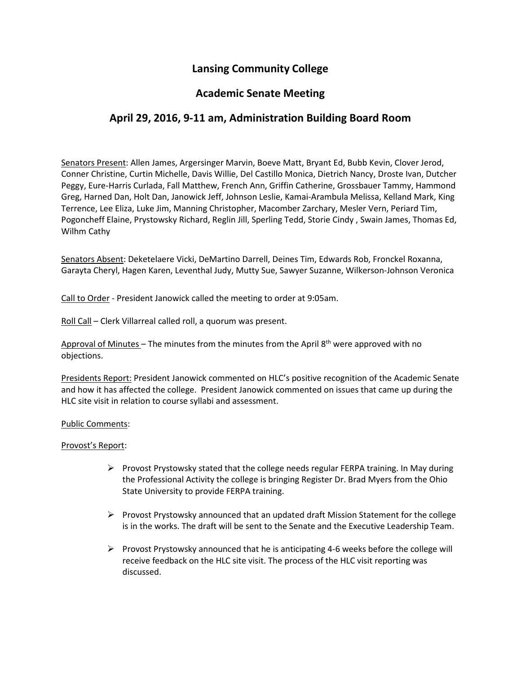# **Lansing Community College**

### **Academic Senate Meeting**

## **April 29, 2016, 9-11 am, Administration Building Board Room**

Senators Present: Allen James, Argersinger Marvin, Boeve Matt, Bryant Ed, Bubb Kevin, Clover Jerod, Conner Christine, Curtin Michelle, Davis Willie, Del Castillo Monica, Dietrich Nancy, Droste Ivan, Dutcher Peggy, Eure-Harris Curlada, Fall Matthew, French Ann, Griffin Catherine, Grossbauer Tammy, Hammond Greg, Harned Dan, Holt Dan, Janowick Jeff, Johnson Leslie, Kamai-Arambula Melissa, Kelland Mark, King Terrence, Lee Eliza, Luke Jim, Manning Christopher, Macomber Zarchary, Mesler Vern, Periard Tim, Pogoncheff Elaine, Prystowsky Richard, Reglin Jill, Sperling Tedd, Storie Cindy , Swain James, Thomas Ed, Wilhm Cathy

Senators Absent: Deketelaere Vicki, DeMartino Darrell, Deines Tim, Edwards Rob, Fronckel Roxanna, Garayta Cheryl, Hagen Karen, Leventhal Judy, Mutty Sue, Sawyer Suzanne, Wilkerson-Johnson Veronica

Call to Order - President Janowick called the meeting to order at 9:05am.

Roll Call – Clerk Villarreal called roll, a quorum was present.

Approval of Minutes - The minutes from the minutes from the April 8<sup>th</sup> were approved with no objections.

Presidents Report: President Janowick commented on HLC's positive recognition of the Academic Senate and how it has affected the college. President Janowick commented on issues that came up during the HLC site visit in relation to course syllabi and assessment.

#### Public Comments:

#### Provost's Report:

- $\triangleright$  Provost Prystowsky stated that the college needs regular FERPA training. In May during the Professional Activity the college is bringing Register Dr. Brad Myers from the Ohio State University to provide FERPA training.
- $\triangleright$  Provost Prystowsky announced that an updated draft Mission Statement for the college is in the works. The draft will be sent to the Senate and the Executive Leadership Team.
- $\triangleright$  Provost Prystowsky announced that he is anticipating 4-6 weeks before the college will receive feedback on the HLC site visit. The process of the HLC visit reporting was discussed.